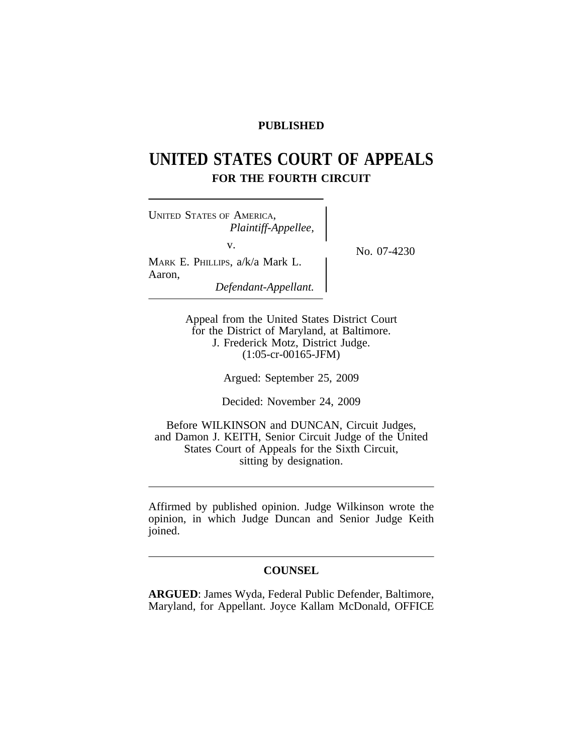## **PUBLISHED**

# **UNITED STATES COURT OF APPEALS FOR THE FOURTH CIRCUIT**

<sup>U</sup>NITED STATES OF AMERICA, *Plaintiff-Appellee,* v.  $N_{\rm O.}$  07-4230 MARK E. PHILLIPS, a/k/a Mark L. Aaron, *Defendant-Appellant.*

Appeal from the United States District Court for the District of Maryland, at Baltimore. J. Frederick Motz, District Judge. (1:05-cr-00165-JFM)

Argued: September 25, 2009

Decided: November 24, 2009

Before WILKINSON and DUNCAN, Circuit Judges, and Damon J. KEITH, Senior Circuit Judge of the United States Court of Appeals for the Sixth Circuit, sitting by designation.

Affirmed by published opinion. Judge Wilkinson wrote the opinion, in which Judge Duncan and Senior Judge Keith joined.

### **COUNSEL**

**ARGUED**: James Wyda, Federal Public Defender, Baltimore, Maryland, for Appellant. Joyce Kallam McDonald, OFFICE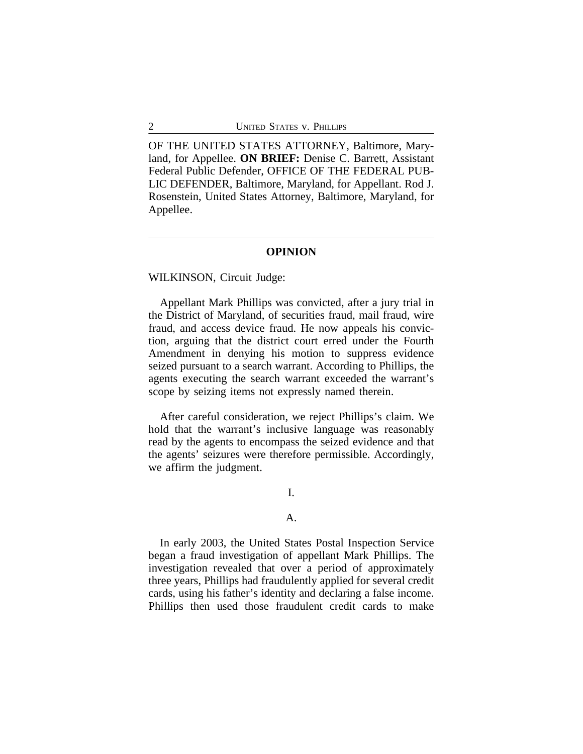OF THE UNITED STATES ATTORNEY, Baltimore, Maryland, for Appellee. **ON BRIEF:** Denise C. Barrett, Assistant Federal Public Defender, OFFICE OF THE FEDERAL PUB-LIC DEFENDER, Baltimore, Maryland, for Appellant. Rod J. Rosenstein, United States Attorney, Baltimore, Maryland, for Appellee.

#### **OPINION**

WILKINSON, Circuit Judge:

Appellant Mark Phillips was convicted, after a jury trial in the District of Maryland, of securities fraud, mail fraud, wire fraud, and access device fraud. He now appeals his conviction, arguing that the district court erred under the Fourth Amendment in denying his motion to suppress evidence seized pursuant to a search warrant. According to Phillips, the agents executing the search warrant exceeded the warrant's scope by seizing items not expressly named therein.

After careful consideration, we reject Phillips's claim. We hold that the warrant's inclusive language was reasonably read by the agents to encompass the seized evidence and that the agents' seizures were therefore permissible. Accordingly, we affirm the judgment.

I.

## A.

In early 2003, the United States Postal Inspection Service began a fraud investigation of appellant Mark Phillips. The investigation revealed that over a period of approximately three years, Phillips had fraudulently applied for several credit cards, using his father's identity and declaring a false income. Phillips then used those fraudulent credit cards to make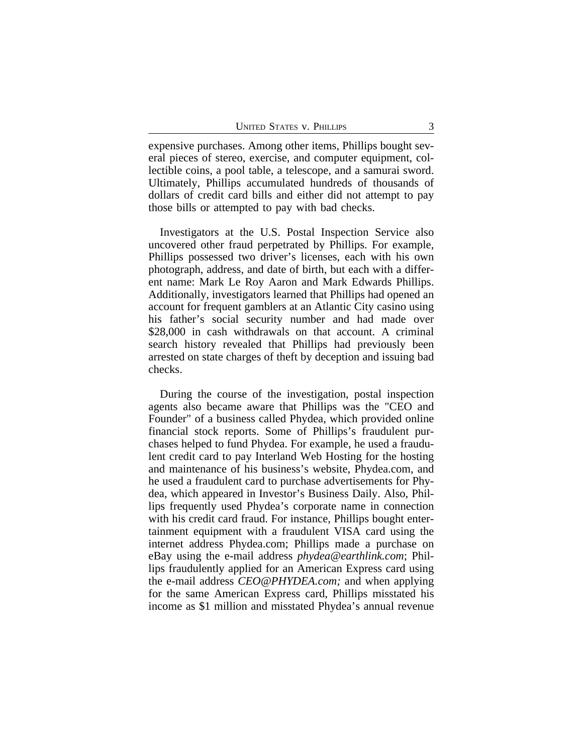expensive purchases. Among other items, Phillips bought several pieces of stereo, exercise, and computer equipment, collectible coins, a pool table, a telescope, and a samurai sword. Ultimately, Phillips accumulated hundreds of thousands of dollars of credit card bills and either did not attempt to pay those bills or attempted to pay with bad checks.

Investigators at the U.S. Postal Inspection Service also uncovered other fraud perpetrated by Phillips. For example, Phillips possessed two driver's licenses, each with his own photograph, address, and date of birth, but each with a different name: Mark Le Roy Aaron and Mark Edwards Phillips. Additionally, investigators learned that Phillips had opened an account for frequent gamblers at an Atlantic City casino using his father's social security number and had made over \$28,000 in cash withdrawals on that account. A criminal search history revealed that Phillips had previously been arrested on state charges of theft by deception and issuing bad checks.

During the course of the investigation, postal inspection agents also became aware that Phillips was the "CEO and Founder" of a business called Phydea, which provided online financial stock reports. Some of Phillips's fraudulent purchases helped to fund Phydea. For example, he used a fraudulent credit card to pay Interland Web Hosting for the hosting and maintenance of his business's website, Phydea.com, and he used a fraudulent card to purchase advertisements for Phydea, which appeared in Investor's Business Daily. Also, Phillips frequently used Phydea's corporate name in connection with his credit card fraud. For instance, Phillips bought entertainment equipment with a fraudulent VISA card using the internet address Phydea.com; Phillips made a purchase on eBay using the e-mail address *phydea@earthlink.com*; Phillips fraudulently applied for an American Express card using the e-mail address *CEO@PHYDEA.com;* and when applying for the same American Express card, Phillips misstated his income as \$1 million and misstated Phydea's annual revenue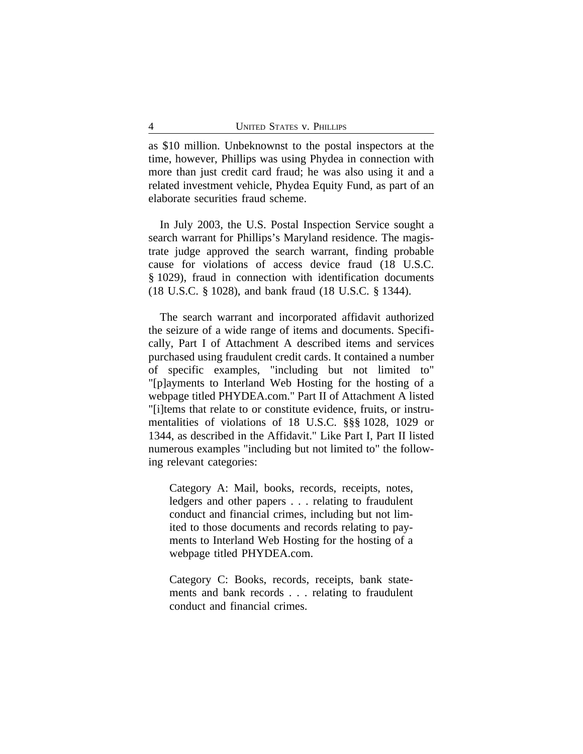as \$10 million. Unbeknownst to the postal inspectors at the time, however, Phillips was using Phydea in connection with more than just credit card fraud; he was also using it and a related investment vehicle, Phydea Equity Fund, as part of an elaborate securities fraud scheme.

In July 2003, the U.S. Postal Inspection Service sought a search warrant for Phillips's Maryland residence. The magistrate judge approved the search warrant, finding probable cause for violations of access device fraud (18 U.S.C. § 1029), fraud in connection with identification documents (18 U.S.C. § 1028), and bank fraud (18 U.S.C. § 1344).

The search warrant and incorporated affidavit authorized the seizure of a wide range of items and documents. Specifically, Part I of Attachment A described items and services purchased using fraudulent credit cards. It contained a number of specific examples, "including but not limited to" "[p]ayments to Interland Web Hosting for the hosting of a webpage titled PHYDEA.com." Part II of Attachment A listed "[i]tems that relate to or constitute evidence, fruits, or instrumentalities of violations of 18 U.S.C. §§§ 1028, 1029 or 1344, as described in the Affidavit." Like Part I, Part II listed numerous examples "including but not limited to" the following relevant categories:

Category A: Mail, books, records, receipts, notes, ledgers and other papers . . . relating to fraudulent conduct and financial crimes, including but not limited to those documents and records relating to payments to Interland Web Hosting for the hosting of a webpage titled PHYDEA.com.

Category C: Books, records, receipts, bank statements and bank records . . . relating to fraudulent conduct and financial crimes.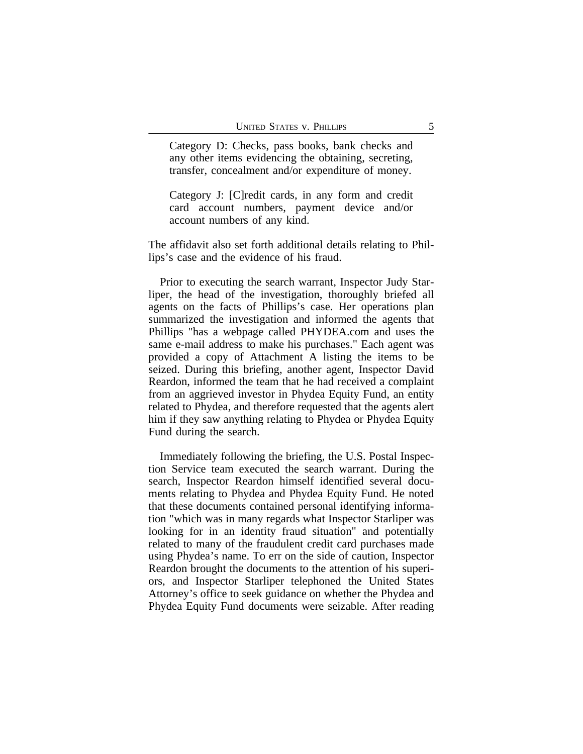Category D: Checks, pass books, bank checks and any other items evidencing the obtaining, secreting, transfer, concealment and/or expenditure of money.

Category J: [C]redit cards, in any form and credit card account numbers, payment device and/or account numbers of any kind.

The affidavit also set forth additional details relating to Phillips's case and the evidence of his fraud.

Prior to executing the search warrant, Inspector Judy Starliper, the head of the investigation, thoroughly briefed all agents on the facts of Phillips's case. Her operations plan summarized the investigation and informed the agents that Phillips "has a webpage called PHYDEA.com and uses the same e-mail address to make his purchases." Each agent was provided a copy of Attachment A listing the items to be seized. During this briefing, another agent, Inspector David Reardon, informed the team that he had received a complaint from an aggrieved investor in Phydea Equity Fund, an entity related to Phydea, and therefore requested that the agents alert him if they saw anything relating to Phydea or Phydea Equity Fund during the search.

Immediately following the briefing, the U.S. Postal Inspection Service team executed the search warrant. During the search, Inspector Reardon himself identified several documents relating to Phydea and Phydea Equity Fund. He noted that these documents contained personal identifying information "which was in many regards what Inspector Starliper was looking for in an identity fraud situation" and potentially related to many of the fraudulent credit card purchases made using Phydea's name. To err on the side of caution, Inspector Reardon brought the documents to the attention of his superiors, and Inspector Starliper telephoned the United States Attorney's office to seek guidance on whether the Phydea and Phydea Equity Fund documents were seizable. After reading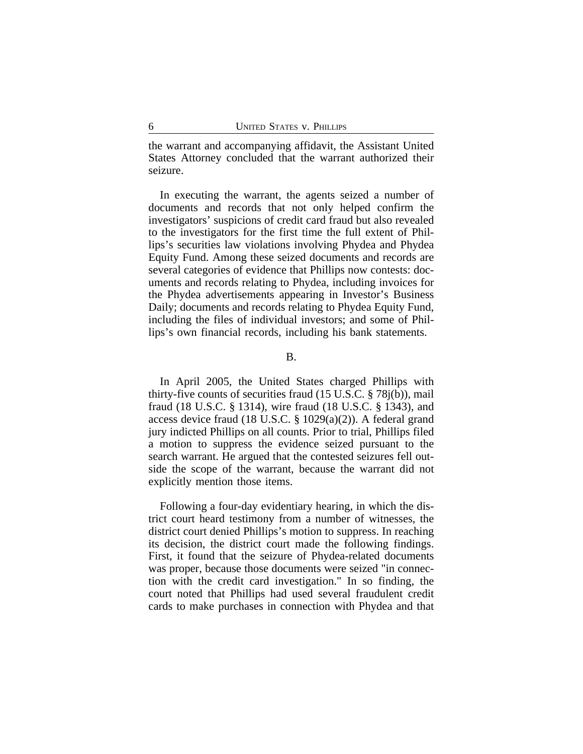the warrant and accompanying affidavit, the Assistant United States Attorney concluded that the warrant authorized their seizure.

In executing the warrant, the agents seized a number of documents and records that not only helped confirm the investigators' suspicions of credit card fraud but also revealed to the investigators for the first time the full extent of Phillips's securities law violations involving Phydea and Phydea Equity Fund. Among these seized documents and records are several categories of evidence that Phillips now contests: documents and records relating to Phydea, including invoices for the Phydea advertisements appearing in Investor's Business Daily; documents and records relating to Phydea Equity Fund, including the files of individual investors; and some of Phillips's own financial records, including his bank statements.

B.

In April 2005, the United States charged Phillips with thirty-five counts of securities fraud (15 U.S.C. § 78j(b)), mail fraud (18 U.S.C. § 1314), wire fraud (18 U.S.C. § 1343), and access device fraud (18 U.S.C. § 1029(a)(2)). A federal grand jury indicted Phillips on all counts. Prior to trial, Phillips filed a motion to suppress the evidence seized pursuant to the search warrant. He argued that the contested seizures fell outside the scope of the warrant, because the warrant did not explicitly mention those items.

Following a four-day evidentiary hearing, in which the district court heard testimony from a number of witnesses, the district court denied Phillips's motion to suppress. In reaching its decision, the district court made the following findings. First, it found that the seizure of Phydea-related documents was proper, because those documents were seized "in connection with the credit card investigation." In so finding, the court noted that Phillips had used several fraudulent credit cards to make purchases in connection with Phydea and that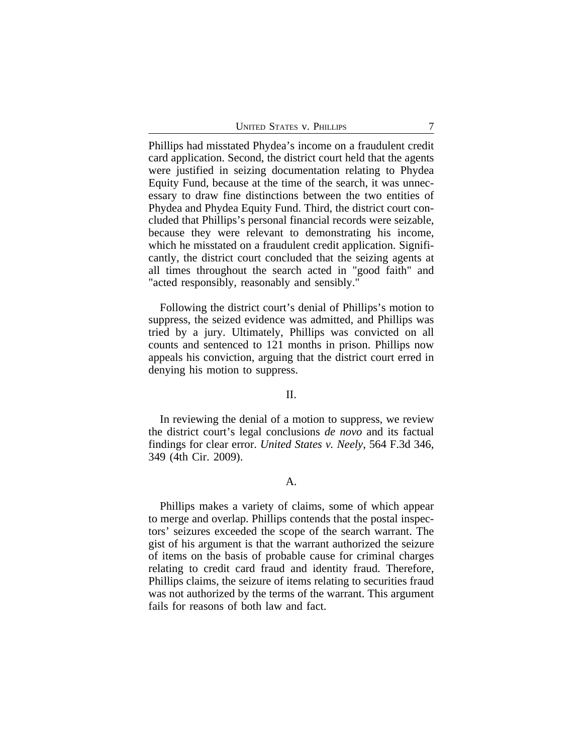| <b>UNITED STATES V. PHILLIPS</b> |  |  |
|----------------------------------|--|--|
|----------------------------------|--|--|

Phillips had misstated Phydea's income on a fraudulent credit card application. Second, the district court held that the agents were justified in seizing documentation relating to Phydea Equity Fund, because at the time of the search, it was unnecessary to draw fine distinctions between the two entities of Phydea and Phydea Equity Fund. Third, the district court concluded that Phillips's personal financial records were seizable, because they were relevant to demonstrating his income, which he misstated on a fraudulent credit application. Significantly, the district court concluded that the seizing agents at all times throughout the search acted in "good faith" and "acted responsibly, reasonably and sensibly."

Following the district court's denial of Phillips's motion to suppress, the seized evidence was admitted, and Phillips was tried by a jury. Ultimately, Phillips was convicted on all counts and sentenced to 121 months in prison. Phillips now appeals his conviction, arguing that the district court erred in denying his motion to suppress.

#### II.

In reviewing the denial of a motion to suppress, we review the district court's legal conclusions *de novo* and its factual findings for clear error. *United States v. Neely*, 564 F.3d 346, 349 (4th Cir. 2009).

## A.

Phillips makes a variety of claims, some of which appear to merge and overlap. Phillips contends that the postal inspectors' seizures exceeded the scope of the search warrant. The gist of his argument is that the warrant authorized the seizure of items on the basis of probable cause for criminal charges relating to credit card fraud and identity fraud. Therefore, Phillips claims, the seizure of items relating to securities fraud was not authorized by the terms of the warrant. This argument fails for reasons of both law and fact.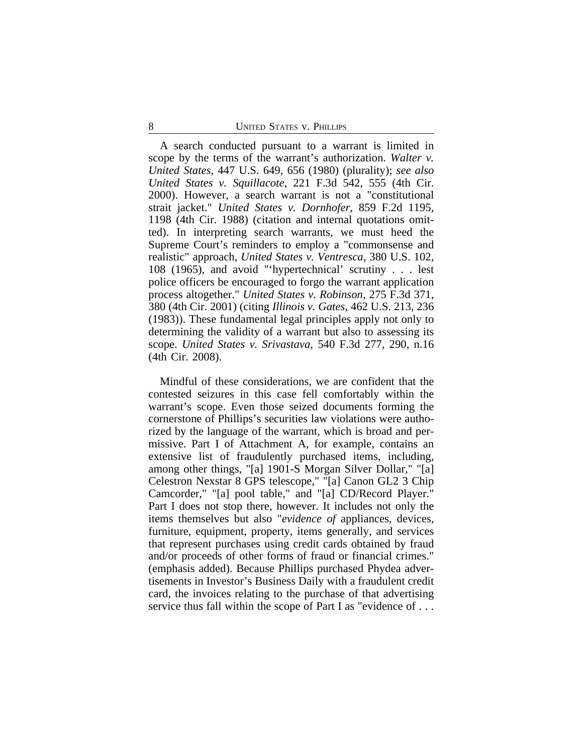A search conducted pursuant to a warrant is limited in scope by the terms of the warrant's authorization. *Walter v. United States*, 447 U.S. 649, 656 (1980) (plurality); *see also United States v. Squillacote*, 221 F.3d 542, 555 (4th Cir. 2000). However, a search warrant is not a "constitutional strait jacket." *United States v. Dornhofer*, 859 F.2d 1195, 1198 (4th Cir. 1988) (citation and internal quotations omitted). In interpreting search warrants, we must heed the Supreme Court's reminders to employ a "commonsense and realistic" approach, *United States v. Ventresca*, 380 U.S. 102, 108 (1965), and avoid "'hypertechnical' scrutiny . . . lest police officers be encouraged to forgo the warrant application process altogether." *United States v. Robinson*, 275 F.3d 371, 380 (4th Cir. 2001) (citing *Illinois v. Gates*, 462 U.S. 213, 236 (1983)). These fundamental legal principles apply not only to determining the validity of a warrant but also to assessing its scope. *United States v. Srivastava*, 540 F.3d 277, 290, n.16 (4th Cir. 2008).

Mindful of these considerations, we are confident that the contested seizures in this case fell comfortably within the warrant's scope. Even those seized documents forming the cornerstone of Phillips's securities law violations were authorized by the language of the warrant, which is broad and permissive. Part I of Attachment A, for example, contains an extensive list of fraudulently purchased items, including, among other things, "[a] 1901-S Morgan Silver Dollar," "[a] Celestron Nexstar 8 GPS telescope," "[a] Canon GL2 3 Chip Camcorder," "[a] pool table," and "[a] CD/Record Player." Part I does not stop there, however. It includes not only the items themselves but also "*evidence of* appliances, devices, furniture, equipment, property, items generally, and services that represent purchases using credit cards obtained by fraud and/or proceeds of other forms of fraud or financial crimes." (emphasis added). Because Phillips purchased Phydea advertisements in Investor's Business Daily with a fraudulent credit card, the invoices relating to the purchase of that advertising service thus fall within the scope of Part I as "evidence of ...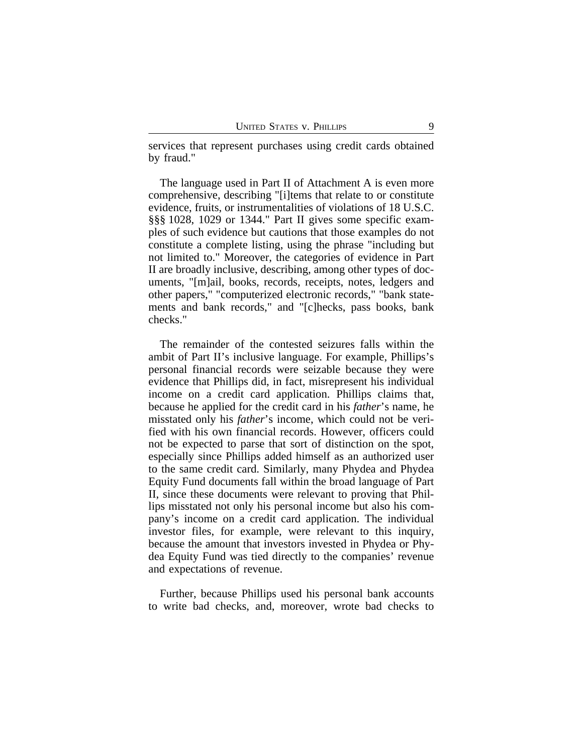services that represent purchases using credit cards obtained by fraud."

The language used in Part II of Attachment A is even more comprehensive, describing "[i]tems that relate to or constitute evidence, fruits, or instrumentalities of violations of 18 U.S.C. §§§ 1028, 1029 or 1344." Part II gives some specific examples of such evidence but cautions that those examples do not constitute a complete listing, using the phrase "including but not limited to." Moreover, the categories of evidence in Part II are broadly inclusive, describing, among other types of documents, "[m]ail, books, records, receipts, notes, ledgers and other papers," "computerized electronic records," "bank statements and bank records," and "[c]hecks, pass books, bank checks."

The remainder of the contested seizures falls within the ambit of Part II's inclusive language. For example, Phillips's personal financial records were seizable because they were evidence that Phillips did, in fact, misrepresent his individual income on a credit card application. Phillips claims that, because he applied for the credit card in his *father*'s name, he misstated only his *father*'s income, which could not be verified with his own financial records. However, officers could not be expected to parse that sort of distinction on the spot, especially since Phillips added himself as an authorized user to the same credit card. Similarly, many Phydea and Phydea Equity Fund documents fall within the broad language of Part II, since these documents were relevant to proving that Phillips misstated not only his personal income but also his company's income on a credit card application. The individual investor files, for example, were relevant to this inquiry, because the amount that investors invested in Phydea or Phydea Equity Fund was tied directly to the companies' revenue and expectations of revenue.

Further, because Phillips used his personal bank accounts to write bad checks, and, moreover, wrote bad checks to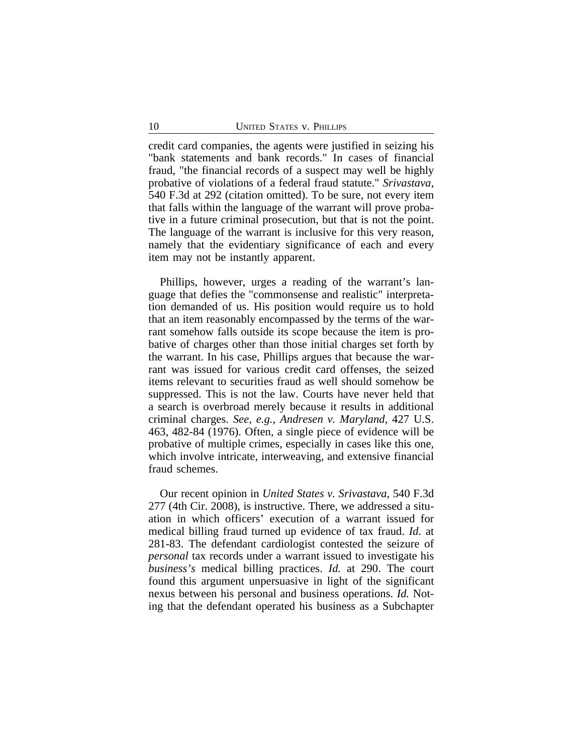credit card companies, the agents were justified in seizing his "bank statements and bank records." In cases of financial fraud, "the financial records of a suspect may well be highly probative of violations of a federal fraud statute." *Srivastava*, 540 F.3d at 292 (citation omitted). To be sure, not every item that falls within the language of the warrant will prove probative in a future criminal prosecution, but that is not the point. The language of the warrant is inclusive for this very reason, namely that the evidentiary significance of each and every item may not be instantly apparent.

Phillips, however, urges a reading of the warrant's language that defies the "commonsense and realistic" interpretation demanded of us. His position would require us to hold that an item reasonably encompassed by the terms of the warrant somehow falls outside its scope because the item is probative of charges other than those initial charges set forth by the warrant. In his case, Phillips argues that because the warrant was issued for various credit card offenses, the seized items relevant to securities fraud as well should somehow be suppressed. This is not the law. Courts have never held that a search is overbroad merely because it results in additional criminal charges. *See, e.g.*, *Andresen v. Maryland*, 427 U.S. 463, 482-84 (1976). Often, a single piece of evidence will be probative of multiple crimes, especially in cases like this one, which involve intricate, interweaving, and extensive financial fraud schemes.

Our recent opinion in *United States v. Srivastava*, 540 F.3d 277 (4th Cir. 2008), is instructive. There, we addressed a situation in which officers' execution of a warrant issued for medical billing fraud turned up evidence of tax fraud. *Id.* at 281-83. The defendant cardiologist contested the seizure of *personal* tax records under a warrant issued to investigate his *business's* medical billing practices. *Id.* at 290. The court found this argument unpersuasive in light of the significant nexus between his personal and business operations. *Id.* Noting that the defendant operated his business as a Subchapter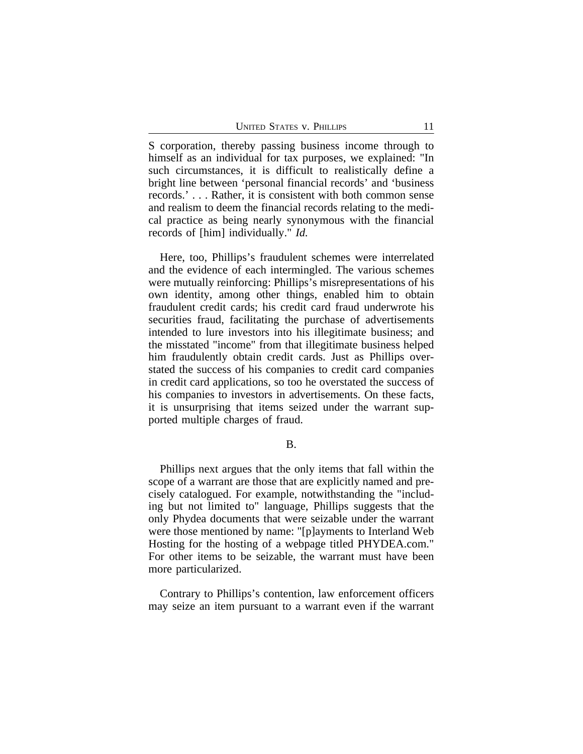S corporation, thereby passing business income through to himself as an individual for tax purposes, we explained: "In such circumstances, it is difficult to realistically define a bright line between 'personal financial records' and 'business records.' . . . Rather, it is consistent with both common sense and realism to deem the financial records relating to the medical practice as being nearly synonymous with the financial records of [him] individually." *Id.*

Here, too, Phillips's fraudulent schemes were interrelated and the evidence of each intermingled. The various schemes were mutually reinforcing: Phillips's misrepresentations of his own identity, among other things, enabled him to obtain fraudulent credit cards; his credit card fraud underwrote his securities fraud, facilitating the purchase of advertisements intended to lure investors into his illegitimate business; and the misstated "income" from that illegitimate business helped him fraudulently obtain credit cards. Just as Phillips overstated the success of his companies to credit card companies in credit card applications, so too he overstated the success of his companies to investors in advertisements. On these facts, it is unsurprising that items seized under the warrant supported multiple charges of fraud.

B.

Phillips next argues that the only items that fall within the scope of a warrant are those that are explicitly named and precisely catalogued. For example, notwithstanding the "including but not limited to" language, Phillips suggests that the only Phydea documents that were seizable under the warrant were those mentioned by name: "[p]ayments to Interland Web Hosting for the hosting of a webpage titled PHYDEA.com." For other items to be seizable, the warrant must have been more particularized.

Contrary to Phillips's contention, law enforcement officers may seize an item pursuant to a warrant even if the warrant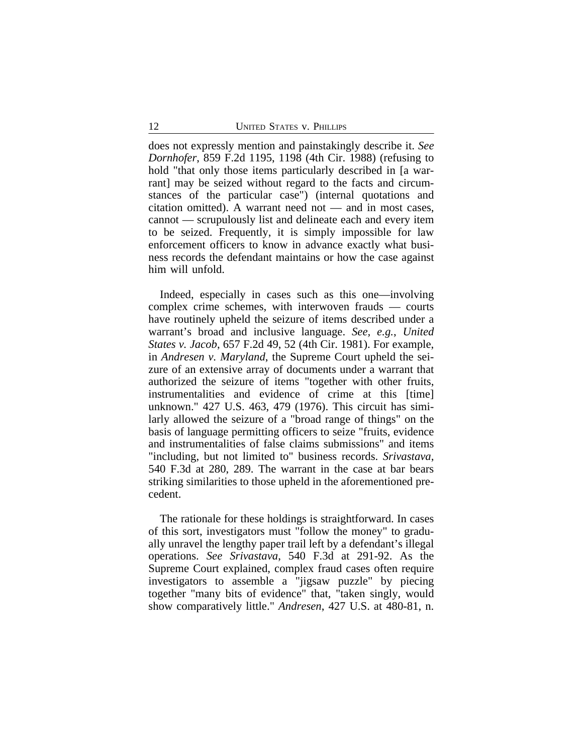does not expressly mention and painstakingly describe it. *See Dornhofer*, 859 F.2d 1195, 1198 (4th Cir. 1988) (refusing to hold "that only those items particularly described in [a warrant] may be seized without regard to the facts and circumstances of the particular case") (internal quotations and citation omitted). A warrant need not — and in most cases, cannot — scrupulously list and delineate each and every item to be seized. Frequently, it is simply impossible for law enforcement officers to know in advance exactly what business records the defendant maintains or how the case against him will unfold.

Indeed, especially in cases such as this one—involving complex crime schemes, with interwoven frauds — courts have routinely upheld the seizure of items described under a warrant's broad and inclusive language. *See, e.g.*, *United States v. Jacob*, 657 F.2d 49, 52 (4th Cir. 1981). For example, in *Andresen v. Maryland*, the Supreme Court upheld the seizure of an extensive array of documents under a warrant that authorized the seizure of items "together with other fruits, instrumentalities and evidence of crime at this [time] unknown." 427 U.S. 463, 479 (1976). This circuit has similarly allowed the seizure of a "broad range of things" on the basis of language permitting officers to seize "fruits, evidence and instrumentalities of false claims submissions" and items "including, but not limited to" business records. *Srivastava*, 540 F.3d at 280, 289. The warrant in the case at bar bears striking similarities to those upheld in the aforementioned precedent.

The rationale for these holdings is straightforward. In cases of this sort, investigators must "follow the money" to gradually unravel the lengthy paper trail left by a defendant's illegal operations. *See Srivastava*, 540 F.3d at 291-92. As the Supreme Court explained, complex fraud cases often require investigators to assemble a "jigsaw puzzle" by piecing together "many bits of evidence" that, "taken singly, would show comparatively little." *Andresen*, 427 U.S. at 480-81, n.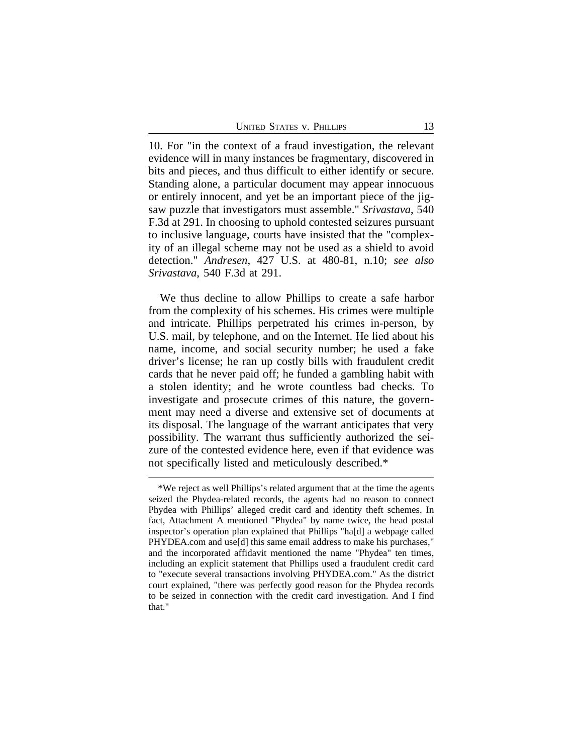10. For "in the context of a fraud investigation, the relevant evidence will in many instances be fragmentary, discovered in bits and pieces, and thus difficult to either identify or secure. Standing alone, a particular document may appear innocuous or entirely innocent, and yet be an important piece of the jigsaw puzzle that investigators must assemble." *Srivastava*, 540 F.3d at 291. In choosing to uphold contested seizures pursuant to inclusive language, courts have insisted that the "complexity of an illegal scheme may not be used as a shield to avoid detection." *Andresen*, 427 U.S. at 480-81, n.10; *see also Srivastava*, 540 F.3d at 291.

We thus decline to allow Phillips to create a safe harbor from the complexity of his schemes. His crimes were multiple and intricate. Phillips perpetrated his crimes in-person, by U.S. mail, by telephone, and on the Internet. He lied about his name, income, and social security number; he used a fake driver's license; he ran up costly bills with fraudulent credit cards that he never paid off; he funded a gambling habit with a stolen identity; and he wrote countless bad checks. To investigate and prosecute crimes of this nature, the government may need a diverse and extensive set of documents at its disposal. The language of the warrant anticipates that very possibility. The warrant thus sufficiently authorized the seizure of the contested evidence here, even if that evidence was not specifically listed and meticulously described.\*

<sup>\*</sup>We reject as well Phillips's related argument that at the time the agents seized the Phydea-related records, the agents had no reason to connect Phydea with Phillips' alleged credit card and identity theft schemes. In fact, Attachment A mentioned "Phydea" by name twice, the head postal inspector's operation plan explained that Phillips "ha[d] a webpage called PHYDEA.com and use[d] this same email address to make his purchases," and the incorporated affidavit mentioned the name "Phydea" ten times, including an explicit statement that Phillips used a fraudulent credit card to "execute several transactions involving PHYDEA.com." As the district court explained, "there was perfectly good reason for the Phydea records to be seized in connection with the credit card investigation. And I find that."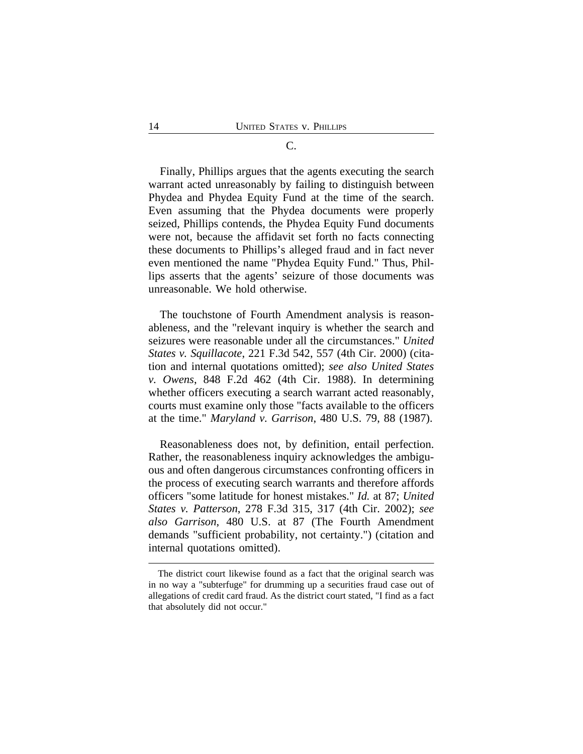#### C.

Finally, Phillips argues that the agents executing the search warrant acted unreasonably by failing to distinguish between Phydea and Phydea Equity Fund at the time of the search. Even assuming that the Phydea documents were properly seized, Phillips contends, the Phydea Equity Fund documents were not, because the affidavit set forth no facts connecting these documents to Phillips's alleged fraud and in fact never even mentioned the name "Phydea Equity Fund." Thus, Phillips asserts that the agents' seizure of those documents was unreasonable. We hold otherwise.

The touchstone of Fourth Amendment analysis is reasonableness, and the "relevant inquiry is whether the search and seizures were reasonable under all the circumstances." *United States v. Squillacote*, 221 F.3d 542, 557 (4th Cir. 2000) (citation and internal quotations omitted); *see also United States v. Owens*, 848 F.2d 462 (4th Cir. 1988). In determining whether officers executing a search warrant acted reasonably, courts must examine only those "facts available to the officers at the time." *Maryland v. Garrison*, 480 U.S. 79, 88 (1987).

Reasonableness does not, by definition, entail perfection. Rather, the reasonableness inquiry acknowledges the ambiguous and often dangerous circumstances confronting officers in the process of executing search warrants and therefore affords officers "some latitude for honest mistakes." *Id.* at 87; *United States v. Patterson*, 278 F.3d 315, 317 (4th Cir. 2002); *see also Garrison*, 480 U.S. at 87 (The Fourth Amendment demands "sufficient probability, not certainty.") (citation and internal quotations omitted).

The district court likewise found as a fact that the original search was in no way a "subterfuge" for drumming up a securities fraud case out of allegations of credit card fraud. As the district court stated, "I find as a fact that absolutely did not occur."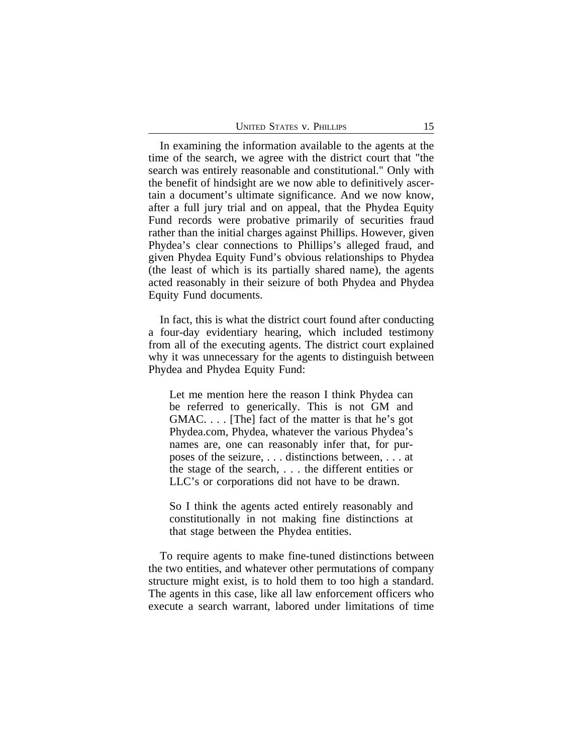In examining the information available to the agents at the time of the search, we agree with the district court that "the search was entirely reasonable and constitutional." Only with the benefit of hindsight are we now able to definitively ascertain a document's ultimate significance. And we now know, after a full jury trial and on appeal, that the Phydea Equity Fund records were probative primarily of securities fraud rather than the initial charges against Phillips. However, given Phydea's clear connections to Phillips's alleged fraud, and given Phydea Equity Fund's obvious relationships to Phydea (the least of which is its partially shared name), the agents acted reasonably in their seizure of both Phydea and Phydea Equity Fund documents.

In fact, this is what the district court found after conducting a four-day evidentiary hearing, which included testimony from all of the executing agents. The district court explained why it was unnecessary for the agents to distinguish between Phydea and Phydea Equity Fund:

Let me mention here the reason I think Phydea can be referred to generically. This is not GM and GMAC. . . . [The] fact of the matter is that he's got Phydea.com, Phydea, whatever the various Phydea's names are, one can reasonably infer that, for purposes of the seizure, . . . distinctions between, . . . at the stage of the search, . . . the different entities or LLC's or corporations did not have to be drawn.

So I think the agents acted entirely reasonably and constitutionally in not making fine distinctions at that stage between the Phydea entities.

To require agents to make fine-tuned distinctions between the two entities, and whatever other permutations of company structure might exist, is to hold them to too high a standard. The agents in this case, like all law enforcement officers who execute a search warrant, labored under limitations of time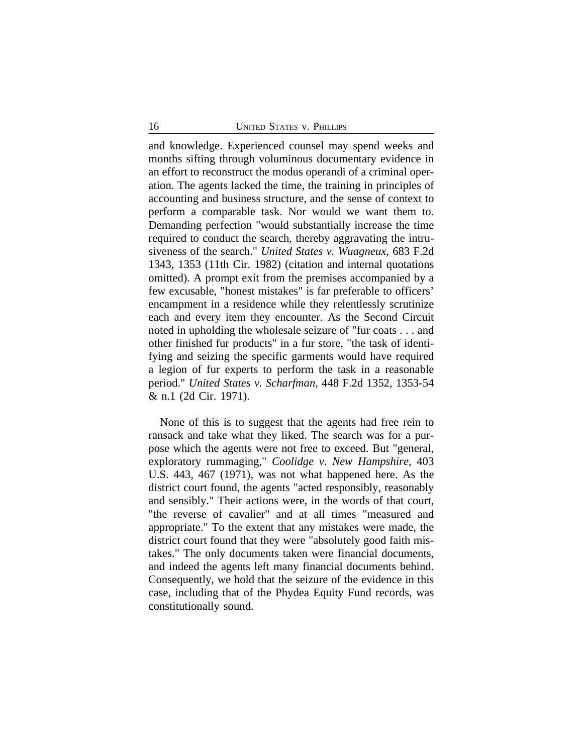and knowledge. Experienced counsel may spend weeks and months sifting through voluminous documentary evidence in an effort to reconstruct the modus operandi of a criminal operation. The agents lacked the time, the training in principles of accounting and business structure, and the sense of context to perform a comparable task. Nor would we want them to. Demanding perfection "would substantially increase the time required to conduct the search, thereby aggravating the intrusiveness of the search." *United States v. Wuagneux*, 683 F.2d 1343, 1353 (11th Cir. 1982) (citation and internal quotations omitted). A prompt exit from the premises accompanied by a few excusable, "honest mistakes" is far preferable to officers' encampment in a residence while they relentlessly scrutinize each and every item they encounter. As the Second Circuit noted in upholding the wholesale seizure of "fur coats . . . and other finished fur products" in a fur store, "the task of identifying and seizing the specific garments would have required a legion of fur experts to perform the task in a reasonable period." *United States v. Scharfman*, 448 F.2d 1352, 1353-54 & n.1 (2d Cir. 1971).

None of this is to suggest that the agents had free rein to ransack and take what they liked. The search was for a purpose which the agents were not free to exceed. But "general, exploratory rummaging," *Coolidge v. New Hampshire*, 403 U.S. 443, 467 (1971), was not what happened here. As the district court found, the agents "acted responsibly, reasonably and sensibly." Their actions were, in the words of that court, "the reverse of cavalier" and at all times "measured and appropriate." To the extent that any mistakes were made, the district court found that they were "absolutely good faith mistakes." The only documents taken were financial documents, and indeed the agents left many financial documents behind. Consequently, we hold that the seizure of the evidence in this case, including that of the Phydea Equity Fund records, was constitutionally sound.